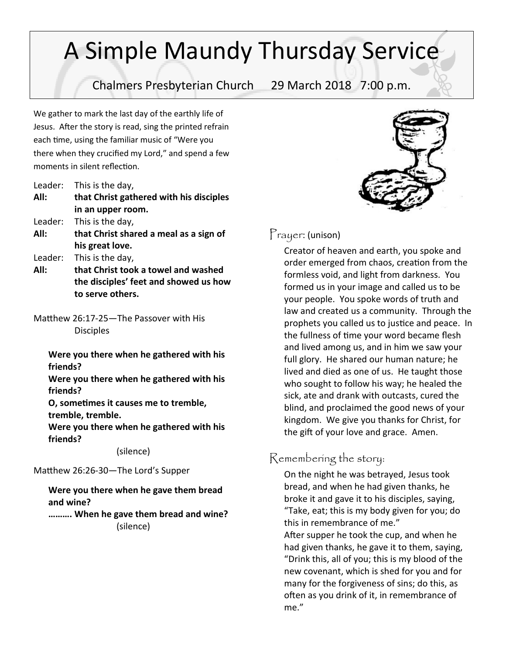# A Simple Maundy Thursday Service

Chalmers Presbyterian Church 29 March 2018 7:00 p.m.

We gather to mark the last day of the earthly life of Jesus. After the story is read, sing the printed refrain each time, using the familiar music of "Were you there when they crucified my Lord," and spend a few moments in silent reflection.

| Leader: |  | This is the day, |
|---------|--|------------------|
|---------|--|------------------|

- **All: that Christ gathered with his disciples in an upper room.**
- Leader: This is the day,
- **All: that Christ shared a meal as a sign of his great love.**
- Leader: This is the day,
- **All: that Christ took a towel and washed the disciples' feet and showed us how to serve others.**
- Matthew 26:17-25—The Passover with His **Disciples**

**Were you there when he gathered with his friends?**

**Were you there when he gathered with his friends?**

**O, sometimes it causes me to tremble, tremble, tremble.**

**Were you there when he gathered with his friends?**

(silence)

Matthew 26:26-30—The Lord's Supper

#### **Were you there when he gave them bread and wine?**

**………. When he gave them bread and wine?** (silence)



### Prayer: (unison)

Creator of heaven and earth, you spoke and order emerged from chaos, creation from the formless void, and light from darkness. You formed us in your image and called us to be your people. You spoke words of truth and law and created us a community. Through the prophets you called us to justice and peace. In the fullness of time your word became flesh and lived among us, and in him we saw your full glory. He shared our human nature; he lived and died as one of us. He taught those who sought to follow his way; he healed the sick, ate and drank with outcasts, cured the blind, and proclaimed the good news of your kingdom. We give you thanks for Christ, for the gift of your love and grace. Amen.

## Remembering the story:

On the night he was betrayed, Jesus took bread, and when he had given thanks, he broke it and gave it to his disciples, saying, "Take, eat; this is my body given for you; do this in remembrance of me."

After supper he took the cup, and when he had given thanks, he gave it to them, saying, "Drink this, all of you; this is my blood of the new covenant, which is shed for you and for many for the forgiveness of sins; do this, as often as you drink of it, in remembrance of me."